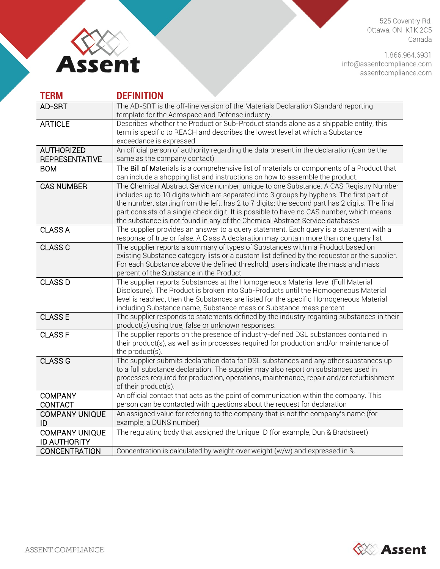

525 Coventry Rd. Ottawa, ON K1K 2C5 Canada

1.866.964.6931 info@assentcompliance.com<br>assentcompliance.com

| <b>TERM</b>           | <b>DEFINITION</b>                                                                                                                                                           |
|-----------------------|-----------------------------------------------------------------------------------------------------------------------------------------------------------------------------|
| AD-SRT                | The AD-SRT is the off-line version of the Materials Declaration Standard reporting                                                                                          |
|                       | template for the Aerospace and Defense industry.                                                                                                                            |
| <b>ARTICLE</b>        | Describes whether the Product or Sub-Product stands alone as a shippable entity; this                                                                                       |
|                       | term is specific to REACH and describes the lowest level at which a Substance                                                                                               |
|                       | exceedance is expressed                                                                                                                                                     |
| <b>AUTHORIZED</b>     | An official person of authority regarding the data present in the declaration (can be the                                                                                   |
| <b>REPRESENTATIVE</b> | same as the company contact)                                                                                                                                                |
| <b>BOM</b>            | The Bill of Materials is a comprehensive list of materials or components of a Product that                                                                                  |
|                       | can include a shopping list and instructions on how to assemble the product.                                                                                                |
| <b>CAS NUMBER</b>     | The Chemical Abstract Service number, unique to one Substance. A CAS Registry Number                                                                                        |
|                       | includes up to 10 digits which are separated into 3 groups by hyphens. The first part of                                                                                    |
|                       | the number, starting from the left, has 2 to 7 digits; the second part has 2 digits. The final                                                                              |
|                       | part consists of a single check digit. It is possible to have no CAS number, which means                                                                                    |
|                       | the substance is not found in any of the Chemical Abstract Service databases                                                                                                |
| <b>CLASS A</b>        | The supplier provides an answer to a query statement. Each query is a statement with a                                                                                      |
|                       | response of true or false. A Class A declaration may contain more than one query list                                                                                       |
| <b>CLASS C</b>        | The supplier reports a summary of types of Substances within a Product based on                                                                                             |
|                       | existing Substance category lists or a custom list defined by the requestor or the supplier.                                                                                |
|                       | For each Substance above the defined threshold, users indicate the mass and mass                                                                                            |
|                       | percent of the Substance in the Product                                                                                                                                     |
| <b>CLASS D</b>        | The supplier reports Substances at the Homogeneous Material level (Full Material                                                                                            |
|                       | Disclosure). The Product is broken into Sub-Products until the Homogeneous Material                                                                                         |
|                       | level is reached, then the Substances are listed for the specific Homogeneous Material                                                                                      |
|                       | including Substance name, Substance mass or Substance mass percent                                                                                                          |
| <b>CLASS E</b>        | The supplier responds to statements defined by the industry regarding substances in their                                                                                   |
|                       | product(s) using true, false or unknown responses.                                                                                                                          |
| <b>CLASS F</b>        | The supplier reports on the presence of industry-defined DSL substances contained in                                                                                        |
|                       | their product(s), as well as in processes required for production and/or maintenance of                                                                                     |
|                       | the product(s).                                                                                                                                                             |
| <b>CLASS G</b>        | The supplier submits declaration data for DSL substances and any other substances up<br>to a full substance declaration. The supplier may also report on substances used in |
|                       | processes required for production, operations, maintenance, repair and/or refurbishment                                                                                     |
|                       | of their product(s).                                                                                                                                                        |
| <b>COMPANY</b>        | An official contact that acts as the point of communication within the company. This                                                                                        |
|                       | person can be contacted with questions about the request for declaration                                                                                                    |
| <b>CONTACT</b>        | An assigned value for referring to the company that is not the company's name (for                                                                                          |
| <b>COMPANY UNIQUE</b> |                                                                                                                                                                             |
| ID                    | example, a DUNS number)                                                                                                                                                     |
| <b>COMPANY UNIQUE</b> | The regulating body that assigned the Unique ID (for example, Dun & Bradstreet)                                                                                             |
| <b>ID AUTHORITY</b>   |                                                                                                                                                                             |
| <b>CONCENTRATION</b>  | Concentration is calculated by weight over weight (w/w) and expressed in %                                                                                                  |

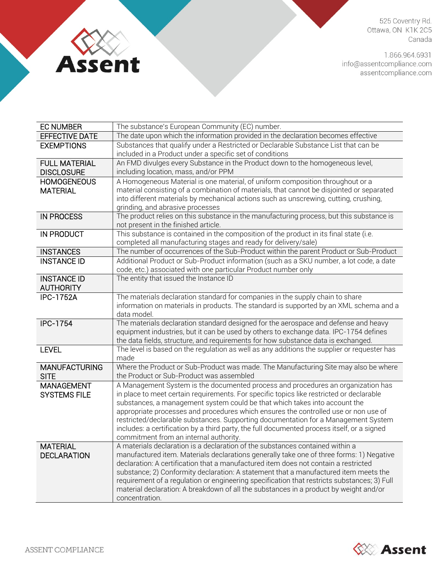

525 Coventry Rd. Ottawa, ON K1K 2C5 Canada

1.866.964.6931 info@assentcompliance.com<br>assentcompliance.com

| <b>EC NUMBER</b>      | The substance's European Community (EC) number.                                                                                                                                   |
|-----------------------|-----------------------------------------------------------------------------------------------------------------------------------------------------------------------------------|
| <b>EFFECTIVE DATE</b> | The date upon which the information provided in the declaration becomes effective                                                                                                 |
| <b>EXEMPTIONS</b>     | Substances that qualify under a Restricted or Declarable Substance List that can be                                                                                               |
|                       | included in a Product under a specific set of conditions                                                                                                                          |
| <b>FULL MATERIAL</b>  | An FMD divulges every Substance in the Product down to the homogeneous level,                                                                                                     |
| <b>DISCLOSURE</b>     | including location, mass, and/or PPM                                                                                                                                              |
| <b>HOMOGENEOUS</b>    | A Homogeneous Material is one material, of uniform composition throughout or a                                                                                                    |
| <b>MATERIAL</b>       | material consisting of a combination of materials, that cannot be disjointed or separated                                                                                         |
|                       | into different materials by mechanical actions such as unscrewing, cutting, crushing,                                                                                             |
|                       | grinding, and abrasive processes                                                                                                                                                  |
| <b>IN PROCESS</b>     | The product relies on this substance in the manufacturing process, but this substance is<br>not present in the finished article.                                                  |
| IN PRODUCT            | This substance is contained in the composition of the product in its final state (i.e.                                                                                            |
|                       | completed all manufacturing stages and ready for delivery/sale)                                                                                                                   |
| <b>INSTANCES</b>      | The number of occurrences of the Sub-Product within the parent Product or Sub-Product                                                                                             |
| <b>INSTANCE ID</b>    | Additional Product or Sub-Product information (such as a SKU number, a lot code, a date                                                                                           |
|                       | code, etc.) associated with one particular Product number only                                                                                                                    |
| <b>INSTANCE ID</b>    | The entity that issued the Instance ID                                                                                                                                            |
| <b>AUTHORITY</b>      |                                                                                                                                                                                   |
| <b>IPC-1752A</b>      | The materials declaration standard for companies in the supply chain to share                                                                                                     |
|                       | information on materials in products. The standard is supported by an XML schema and a                                                                                            |
|                       | data model.                                                                                                                                                                       |
| <b>IPC-1754</b>       | The materials declaration standard designed for the aerospace and defense and heavy                                                                                               |
|                       | equipment industries, but it can be used by others to exchange data. IPC-1754 defines                                                                                             |
|                       | the data fields, structure, and requirements for how substance data is exchanged.                                                                                                 |
| <b>LEVEL</b>          | The level is based on the regulation as well as any additions the supplier or requester has<br>made                                                                               |
| <b>MANUFACTURING</b>  | Where the Product or Sub-Product was made. The Manufacturing Site may also be where                                                                                               |
| <b>SITE</b>           | the Product or Sub-Product was assembled                                                                                                                                          |
| <b>MANAGEMENT</b>     | A Management System is the documented process and procedures an organization has                                                                                                  |
| <b>SYSTEMS FILE</b>   | in place to meet certain requirements. For specific topics like restricted or declarable                                                                                          |
|                       | substances, a management system could be that which takes into account the                                                                                                        |
|                       | appropriate processes and procedures which ensures the controlled use or non use of                                                                                               |
|                       | restricted/declarable substances. Supporting documentation for a Management System<br>includes: a certification by a third party, the full documented process itself, or a signed |
|                       | commitment from an internal authority.                                                                                                                                            |
| <b>MATERIAL</b>       | A materials declaration is a declaration of the substances contained within a                                                                                                     |
| <b>DECLARATION</b>    | manufactured item. Materials declarations generally take one of three forms: 1) Negative                                                                                          |
|                       | declaration: A certification that a manufactured item does not contain a restricted                                                                                               |
|                       | substance; 2) Conformity declaration: A statement that a manufactured item meets the                                                                                              |
|                       | requirement of a regulation or engineering specification that restricts substances; 3) Full                                                                                       |
|                       | material declaration: A breakdown of all the substances in a product by weight and/or                                                                                             |
|                       | concentration.                                                                                                                                                                    |